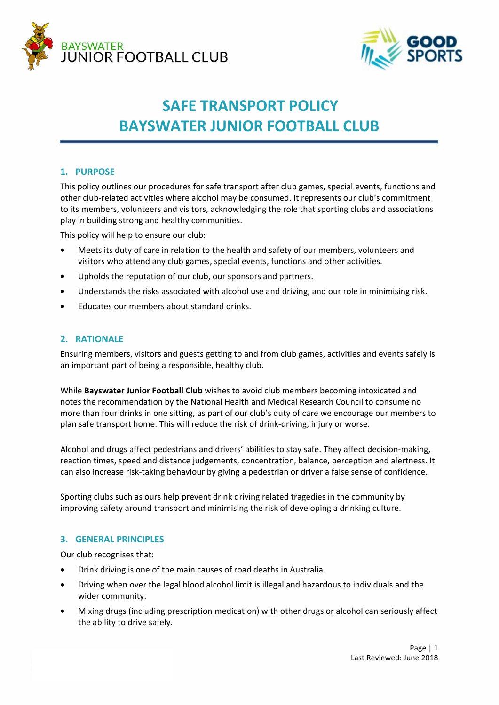



# **SAFE TRANSPORT POLICY BAYSWATER JUNIOR FOOTBALL CLUB**

## **1. PURPOSE**

This policy outlines our procedures for safe transport after club games, special events, functions and other club-related activities where alcohol may be consumed. It represents our club's commitment to its members, volunteers and visitors, acknowledging the role that sporting clubs and associations play in building strong and healthy communities.

This policy will help to ensure our club:

- Meets its duty of care in relation to the health and safety of our members, volunteers and visitors who attend any club games, special events, functions and other activities.
- Upholds the reputation of our club, our sponsors and partners.
- Understands the risks associated with alcohol use and driving, and our role in minimising risk.
- Educates our members about standard drinks.

## **2. RATIONALE**

Ensuring members, visitors and guests getting to and from club games, activities and events safely is an important part of being a responsible, healthy club.

While **Bayswater Junior Football Club** wishes to avoid club members becoming intoxicated and notes the recommendation by the National Health and Medical Research Council to consume no more than four drinks in one sitting, as part of our club's duty of care we encourage our members to plan safe transport home. This will reduce the risk of drink-driving, injury or worse.

Alcohol and drugs affect pedestrians and drivers' abilities to stay safe. They affect decision-making, reaction times, speed and distance judgements, concentration, balance, perception and alertness. It can also increase risk-taking behaviour by giving a pedestrian or driver a false sense of confidence.

Sporting clubs such as ours help prevent drink driving related tragedies in the community by improving safety around transport and minimising the risk of developing a drinking culture.

### **3. GENERAL PRINCIPLES**

Our club recognises that:

- Drink driving is one of the main causes of road deaths in Australia.
- Driving when over the legal blood alcohol limit is illegal and hazardous to individuals and the wider community.
- Mixing drugs (including prescription medication) with other drugs or alcohol can seriously affect the ability to drive safely.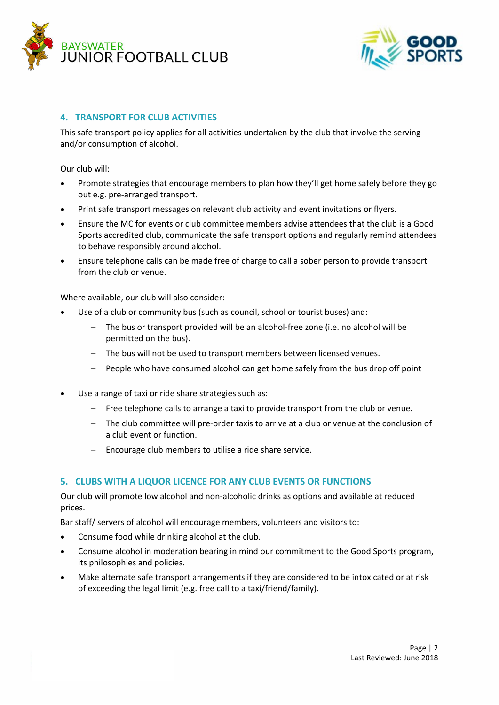



## **4. TRANSPORT FOR CLUB ACTIVITIES**

This safe transport policy applies for all activities undertaken by the club that involve the serving and/or consumption of alcohol.

Our club will:

- Promote strategies that encourage members to plan how they'll get home safely before they go out e.g. pre-arranged transport.
- Print safe transport messages on relevant club activity and event invitations or flyers.
- Ensure the MC for events or club committee members advise attendees that the club is a Good Sports accredited club, communicate the safe transport options and regularly remind attendees to behave responsibly around alcohol.
- Ensure telephone calls can be made free of charge to call a sober person to provide transport from the club or venue.

Where available, our club will also consider:

- Use of a club or community bus (such as council, school or tourist buses) and:
	- − The bus or transport provided will be an alcohol-free zone (i.e. no alcohol will be permitted on the bus).
	- − The bus will not be used to transport members between licensed venues.
	- People who have consumed alcohol can get home safely from the bus drop off point
- Use a range of taxi or ride share strategies such as:
	- − Free telephone calls to arrange a taxi to provide transport from the club or venue.
	- − The club committee will pre-order taxis to arrive at a club or venue at the conclusion of a club event or function.
	- − Encourage club members to utilise a ride share service.

#### **5. CLUBS WITH A LIQUOR LICENCE FOR ANY CLUB EVENTS OR FUNCTIONS**

Our club will promote low alcohol and non-alcoholic drinks as options and available at reduced prices.

Bar staff/ servers of alcohol will encourage members, volunteers and visitors to:

- Consume food while drinking alcohol at the club.
- Consume alcohol in moderation bearing in mind our commitment to the Good Sports program, its philosophies and policies.
- Make alternate safe transport arrangements if they are considered to be intoxicated or at risk of exceeding the legal limit (e.g. free call to a taxi/friend/family).